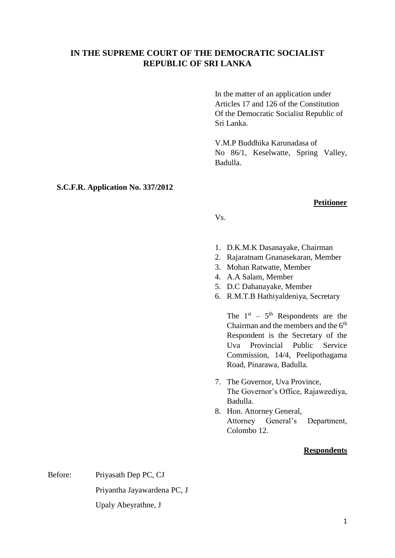# **IN THE SUPREME COURT OF THE DEMOCRATIC SOCIALIST [REPUBLIC](file://///republic) OF SRI LANKA**

In the matter of an application under Articles 17 and 126 of the Constitution Of the Democratic Socialist Republic of Sri Lanka.

V.M.P Buddhika Karunadasa of No 86/1, Keselwatte, Spring Valley, Badulla.

### **S.C.F.R. Application No. 337/2012**

#### **Petitioner**

Vs.

- 1. D.K.M.K Dasanayake, Chairman
- 2. Rajaratnam Gnanasekaran, Member
- 3. Mohan Ratwatte, Member
- 4. A.A Salam, Member
- 5. D.C Dahanayake, Member
- 6. R.M.T.B Hathiyaldeniya, Secretary

The  $1<sup>st</sup> - 5<sup>th</sup>$  Respondents are the Chairman and the members and the 6<sup>th</sup> Respondent is the Secretary of the Uva Provincial Public Service Commission, 14/4, Peelipothagama Road, Pinarawa, Badulla.

- 7. The Governor, Uva Province, The Governor's Office, Rajaweediya, Badulla.
- 8. Hon. Attorney General, Attorney General's Department, Colombo 12.

#### **Respondents**

Before: Priyasath Dep PC, CJ Priyantha Jayawardena PC, J Upaly Abeyrathne, J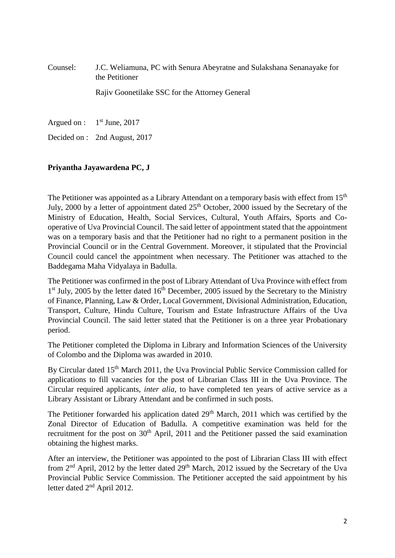# Counsel: J.C. Weliamuna, PC with Senura Abeyratne and Sulakshana Senanayake for the Petitioner

Rajiv Goonetilake SSC for the Attorney General

Argued on : 1  $1<sup>st</sup>$  June, 2017

Decided on : 2nd August, 2017

## **Priyantha Jayawardena PC, J**

The Petitioner was appointed as a Library Attendant on a temporary basis with effect from 15<sup>th</sup> July, 2000 by a letter of appointment dated 25<sup>th</sup> October, 2000 issued by the Secretary of the Ministry of Education, Health, Social Services, Cultural, Youth Affairs, Sports and Cooperative of Uva Provincial Council. The said letter of appointment stated that the appointment was on a temporary basis and that the Petitioner had no right to a permanent position in the Provincial Council or in the Central Government. Moreover, it stipulated that the Provincial Council could cancel the appointment when necessary. The Petitioner was attached to the Baddegama Maha Vidyalaya in Badulla.

The Petitioner was confirmed in the post of Library Attendant of Uva Province with effect from 1<sup>st</sup> July, 2005 by the letter dated 16<sup>th</sup> December, 2005 issued by the Secretary to the Ministry of Finance, Planning, Law & Order, Local Government, Divisional Administration, Education, Transport, Culture, Hindu Culture, Tourism and Estate Infrastructure Affairs of the Uva Provincial Council. The said letter stated that the Petitioner is on a three year Probationary period.

The Petitioner completed the Diploma in Library and Information Sciences of the University of Colombo and the Diploma was awarded in 2010.

By Circular dated 15<sup>th</sup> March 2011, the Uva Provincial Public Service Commission called for applications to fill vacancies for the post of Librarian Class III in the Uva Province. The Circular required applicants, *inter alia*, to have completed ten years of active service as a Library Assistant or Library Attendant and be confirmed in such posts.

The Petitioner forwarded his application dated  $29<sup>th</sup>$  March, 2011 which was certified by the Zonal Director of Education of Badulla. A competitive examination was held for the recruitment for the post on  $30<sup>th</sup>$  April, 2011 and the Petitioner passed the said examination obtaining the highest marks.

After an interview, the Petitioner was appointed to the post of Librarian Class III with effect from  $2<sup>nd</sup>$  April, 2012 by the letter dated  $29<sup>th</sup>$  March, 2012 issued by the Secretary of the Uva Provincial Public Service Commission. The Petitioner accepted the said appointment by his letter dated 2nd April 2012.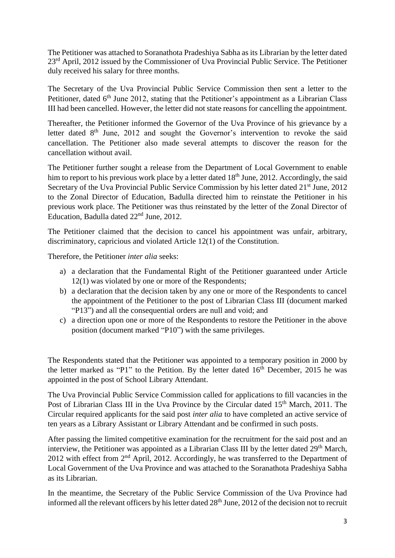The Petitioner was attached to Soranathota Pradeshiya Sabha as its Librarian by the letter dated 23<sup>rd</sup> April, 2012 issued by the Commissioner of Uva Provincial Public Service. The Petitioner duly received his salary for three months.

The Secretary of the Uva Provincial Public Service Commission then sent a letter to the Petitioner, dated  $6<sup>th</sup>$  June 2012, stating that the Petitioner's appointment as a Librarian Class III had been cancelled. However, the letter did not state reasons for cancelling the appointment.

Thereafter, the Petitioner informed the Governor of the Uva Province of his grievance by a letter dated  $8<sup>th</sup>$  June, 2012 and sought the Governor's intervention to revoke the said cancellation. The Petitioner also made several attempts to discover the reason for the cancellation without avail.

The Petitioner further sought a release from the Department of Local Government to enable him to report to his previous work place by a letter dated  $18<sup>th</sup>$  June, 2012. Accordingly, the said Secretary of the Uva Provincial Public Service Commission by his letter dated 21<sup>st</sup> June, 2012 to the Zonal Director of Education, Badulla directed him to reinstate the Petitioner in his previous work place. The Petitioner was thus reinstated by the letter of the Zonal Director of Education, Badulla dated 22<sup>nd</sup> June, 2012.

The Petitioner claimed that the decision to cancel his appointment was unfair, arbitrary, discriminatory, capricious and violated Article 12(1) of the Constitution.

Therefore, the Petitioner *inter alia* seeks:

- a) a declaration that the Fundamental Right of the Petitioner guaranteed under Article 12(1) was violated by one or more of the Respondents;
- b) a declaration that the decision taken by any one or more of the Respondents to cancel the appointment of the Petitioner to the post of Librarian Class III (document marked "P13") and all the consequential orders are null and void; and
- c) a direction upon one or more of the Respondents to restore the Petitioner in the above position (document marked "P10") with the same privileges.

The Respondents stated that the Petitioner was appointed to a temporary position in 2000 by the letter marked as "P1" to the Petition. By the letter dated  $16<sup>th</sup>$  December, 2015 he was appointed in the post of School Library Attendant.

The Uva Provincial Public Service Commission called for applications to fill vacancies in the Post of Librarian Class III in the Uva Province by the Circular dated 15<sup>th</sup> March, 2011. The Circular required applicants for the said post *inter alia* to have completed an active service of ten years as a Library Assistant or Library Attendant and be confirmed in such posts.

After passing the limited competitive examination for the recruitment for the said post and an interview, the Petitioner was appointed as a Librarian Class III by the letter dated  $29<sup>th</sup>$  March, 2012 with effect from 2<sup>nd</sup> April, 2012. Accordingly, he was transferred to the Department of Local Government of the Uva Province and was attached to the Soranathota Pradeshiya Sabha as its Librarian.

In the meantime, the Secretary of the Public Service Commission of the Uva Province had informed all the relevant officers by his letter dated  $28<sup>th</sup>$  June, 2012 of the decision not to recruit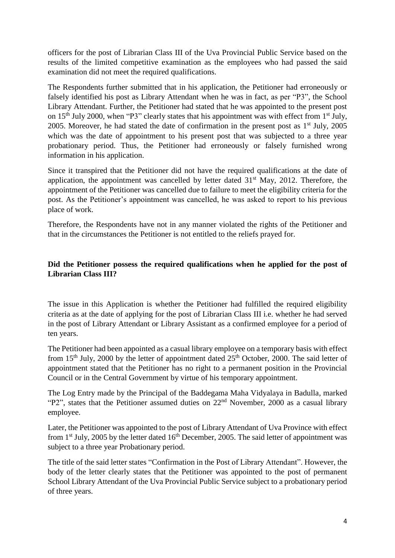officers for the post of Librarian Class III of the Uva Provincial Public Service based on the results of the limited competitive examination as the employees who had passed the said examination did not meet the required qualifications.

The Respondents further submitted that in his application, the Petitioner had erroneously or falsely identified his post as Library Attendant when he was in fact, as per "P3", the School Library Attendant. Further, the Petitioner had stated that he was appointed to the present post on  $15<sup>th</sup>$  July 2000, when "P3" clearly states that his appointment was with effect from  $1<sup>st</sup>$  July, 2005. Moreover, he had stated the date of confirmation in the present post as  $1<sup>st</sup>$  July, 2005 which was the date of appointment to his present post that was subjected to a three year probationary period. Thus, the Petitioner had erroneously or falsely furnished wrong information in his application.

Since it transpired that the Petitioner did not have the required qualifications at the date of application, the appointment was cancelled by letter dated  $31<sup>st</sup>$  May, 2012. Therefore, the appointment of the Petitioner was cancelled due to failure to meet the eligibility criteria for the post. As the Petitioner's appointment was cancelled, he was asked to report to his previous place of work.

Therefore, the Respondents have not in any manner violated the rights of the Petitioner and that in the circumstances the Petitioner is not entitled to the reliefs prayed for.

## **Did the Petitioner possess the required qualifications when he applied for the post of Librarian Class III?**

The issue in this Application is whether the Petitioner had fulfilled the required eligibility criteria as at the date of applying for the post of Librarian Class III i.e. whether he had served in the post of Library Attendant or Library Assistant as a confirmed employee for a period of ten years.

The Petitioner had been appointed as a casual library employee on a temporary basis with effect from 15<sup>th</sup> July, 2000 by the letter of appointment dated  $25<sup>th</sup>$  October, 2000. The said letter of appointment stated that the Petitioner has no right to a permanent position in the Provincial Council or in the Central Government by virtue of his temporary appointment.

The Log Entry made by the Principal of the Baddegama Maha Vidyalaya in Badulla, marked "P2", states that the Petitioner assumed duties on 22nd November, 2000 as a casual library employee.

Later, the Petitioner was appointed to the post of Library Attendant of Uva Province with effect from  $1<sup>st</sup>$  July, 2005 by the letter dated  $16<sup>th</sup>$  December, 2005. The said letter of appointment was subject to a three year Probationary period.

The title of the said letter states "Confirmation in the Post of Library Attendant". However, the body of the letter clearly states that the Petitioner was appointed to the post of permanent School Library Attendant of the Uva Provincial Public Service subject to a probationary period of three years.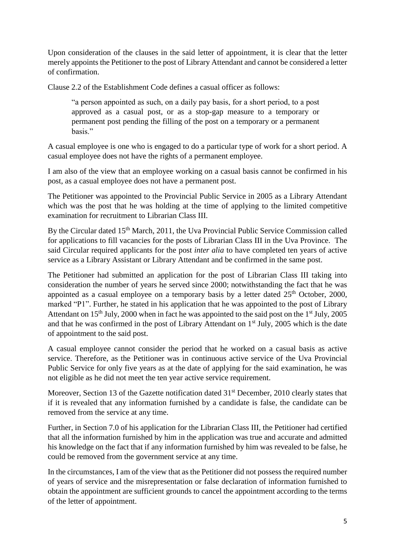Upon consideration of the clauses in the said letter of appointment, it is clear that the letter merely appoints the Petitioner to the post of Library Attendant and cannot be considered a letter of confirmation.

Clause 2.2 of the Establishment Code defines a casual officer as follows:

"a person appointed as such, on a daily pay basis, for a short period, to a post approved as a casual post, or as a stop-gap measure to a temporary or permanent post pending the filling of the post on a temporary or a permanent basis."

A casual employee is one who is engaged to do a particular type of work for a short period. A casual employee does not have the rights of a permanent employee.

I am also of the view that an employee working on a casual basis cannot be confirmed in his post, as a casual employee does not have a permanent post.

The Petitioner was appointed to the Provincial Public Service in 2005 as a Library Attendant which was the post that he was holding at the time of applying to the limited competitive examination for recruitment to Librarian Class III.

By the Circular dated 15<sup>th</sup> March, 2011, the Uva Provincial Public Service Commission called for applications to fill vacancies for the posts of Librarian Class III in the Uva Province. The said Circular required applicants for the post *inter alia* to have completed ten years of active service as a Library Assistant or Library Attendant and be confirmed in the same post.

The Petitioner had submitted an application for the post of Librarian Class III taking into consideration the number of years he served since 2000; notwithstanding the fact that he was appointed as a casual employee on a temporary basis by a letter dated  $25<sup>th</sup>$  October, 2000, marked "P1". Further, he stated in his application that he was appointed to the post of Library Attendant on  $15<sup>th</sup>$  July, 2000 when in fact he was appointed to the said post on the  $1<sup>st</sup>$  July, 2005 and that he was confirmed in the post of Library Attendant on  $1<sup>st</sup>$  July, 2005 which is the date of appointment to the said post.

A casual employee cannot consider the period that he worked on a casual basis as active service. Therefore, as the Petitioner was in continuous active service of the Uva Provincial Public Service for only five years as at the date of applying for the said examination, he was not eligible as he did not meet the ten year active service requirement.

Moreover, Section 13 of the Gazette notification dated 31<sup>st</sup> December, 2010 clearly states that if it is revealed that any information furnished by a candidate is false, the candidate can be removed from the service at any time.

Further, in Section 7.0 of his application for the Librarian Class III, the Petitioner had certified that all the information furnished by him in the application was true and accurate and admitted his knowledge on the fact that if any information furnished by him was revealed to be false, he could be removed from the government service at any time.

In the circumstances, I am of the view that as the Petitioner did not possess the required number of years of service and the misrepresentation or false declaration of information furnished to obtain the appointment are sufficient grounds to cancel the appointment according to the terms of the letter of appointment.